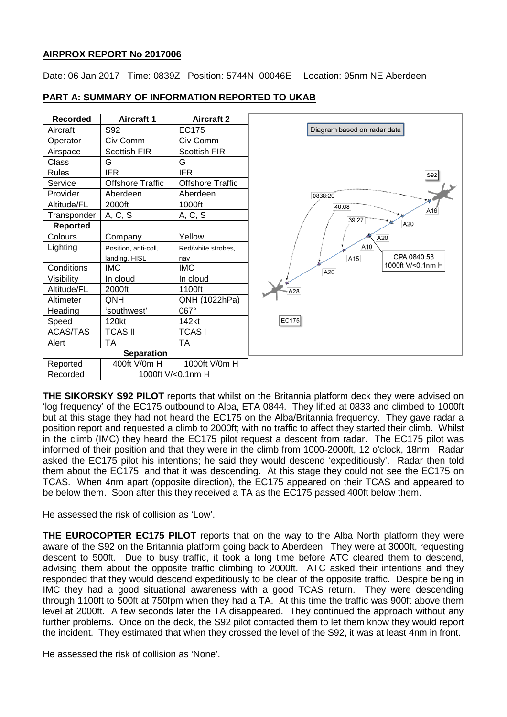# **AIRPROX REPORT No 2017006**

Date: 06 Jan 2017 Time: 0839Z Position: 5744N 00046E Location: 95nm NE Aberdeen

S92

A20

CPA 0840:53

1000ft V/<0.1nm H

| <b>Recorded</b>   | <b>Aircraft 1</b>       | <b>Aircraft 2</b>       |                             |
|-------------------|-------------------------|-------------------------|-----------------------------|
| Aircraft          | S92                     | EC175                   | Diagram based on radar data |
| Operator          | Civ Comm                | Civ Comm                |                             |
| Airspace          | Scottish FIR            | <b>Scottish FIR</b>     |                             |
| Class             | G                       | G                       |                             |
| <b>Rules</b>      | <b>IFR</b>              | <b>IFR</b>              |                             |
| Service           | <b>Offshore Traffic</b> | <b>Offshore Traffic</b> |                             |
| Provider          | Aberdeen                | Aberdeen                | 0838:20<br>40:08<br>39:27   |
| Altitude/FL       | 2000ft                  | 1000ft                  |                             |
| Transponder       | A, C, S                 | A, C, S                 |                             |
| <b>Reported</b>   |                         |                         |                             |
| Colours           | Company                 | Yellow                  | A20                         |
| Lighting          | Position, anti-coll,    | Red/white strobes,      | A10                         |
|                   | landing, HISL           | nav                     | CF<br>A15                   |
| Conditions        | <b>IMC</b>              | <b>IMC</b>              | 1000f<br>A20                |
| Visibility        | In cloud                | In cloud                |                             |
| Altitude/FL       | 2000ft                  | 1100ft                  | A28                         |
| Altimeter         | <b>QNH</b>              | QNH (1022hPa)           |                             |
| Heading           | 'southwest'             | 067°                    |                             |
| Speed             | 120kt                   | 142kt                   | EC175                       |
| <b>ACAS/TAS</b>   | <b>TCAS II</b>          | <b>TCASI</b>            |                             |
| Alert             | TA                      | ТA                      |                             |
| <b>Separation</b> |                         |                         |                             |
| Reported          | 400ft V/0m H            | 1000ft V/0m H           |                             |
| Recorded          | 1000ft V/<0.1nm H       |                         |                             |

# **PART A: SUMMARY OF INFORMATION REPORTED TO UKAB**

**THE SIKORSKY S92 PILOT** reports that whilst on the Britannia platform deck they were advised on 'log frequency' of the EC175 outbound to Alba, ETA 0844. They lifted at 0833 and climbed to 1000ft but at this stage they had not heard the EC175 on the Alba/Britannia frequency. They gave radar a position report and requested a climb to 2000ft; with no traffic to affect they started their climb. Whilst in the climb (IMC) they heard the EC175 pilot request a descent from radar. The EC175 pilot was informed of their position and that they were in the climb from 1000-2000ft, 12 o'clock, 18nm. Radar asked the EC175 pilot his intentions; he said they would descend 'expeditiously'. Radar then told them about the EC175, and that it was descending. At this stage they could not see the EC175 on TCAS. When 4nm apart (opposite direction), the EC175 appeared on their TCAS and appeared to be below them. Soon after this they received a TA as the EC175 passed 400ft below them.

He assessed the risk of collision as 'Low'.

**THE EUROCOPTER EC175 PILOT** reports that on the way to the Alba North platform they were aware of the S92 on the Britannia platform going back to Aberdeen. They were at 3000ft, requesting descent to 500ft. Due to busy traffic, it took a long time before ATC cleared them to descend, advising them about the opposite traffic climbing to 2000ft. ATC asked their intentions and they responded that they would descend expeditiously to be clear of the opposite traffic. Despite being in IMC they had a good situational awareness with a good TCAS return. They were descending through 1100ft to 500ft at 750fpm when they had a TA. At this time the traffic was 900ft above them level at 2000ft. A few seconds later the TA disappeared. They continued the approach without any further problems. Once on the deck, the S92 pilot contacted them to let them know they would report the incident. They estimated that when they crossed the level of the S92, it was at least 4nm in front.

He assessed the risk of collision as 'None'.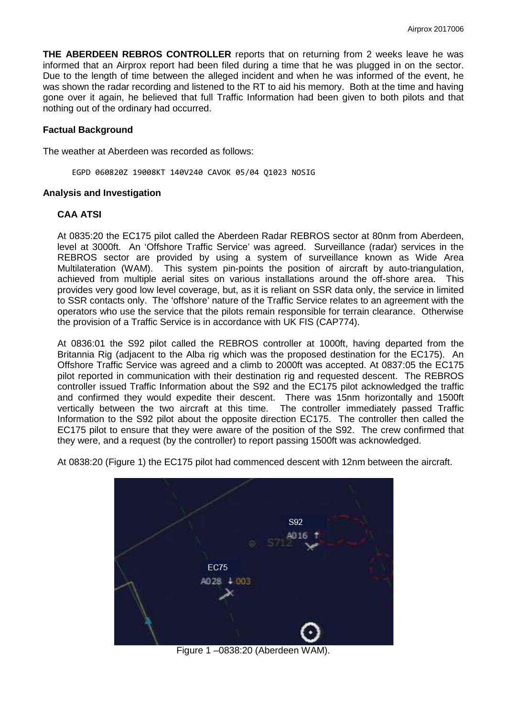**THE ABERDEEN REBROS CONTROLLER** reports that on returning from 2 weeks leave he was informed that an Airprox report had been filed during a time that he was plugged in on the sector. Due to the length of time between the alleged incident and when he was informed of the event, he was shown the radar recording and listened to the RT to aid his memory. Both at the time and having gone over it again, he believed that full Traffic Information had been given to both pilots and that nothing out of the ordinary had occurred.

## **Factual Background**

The weather at Aberdeen was recorded as follows:

EGPD 060820Z 19008KT 140V240 CAVOK 05/04 Q1023 NOSIG

### **Analysis and Investigation**

## **CAA ATSI**

At 0835:20 the EC175 pilot called the Aberdeen Radar REBROS sector at 80nm from Aberdeen, level at 3000ft. An 'Offshore Traffic Service' was agreed. Surveillance (radar) services in the REBROS sector are provided by using a system of surveillance known as Wide Area Multilateration (WAM). This system pin-points the position of aircraft by auto-triangulation, achieved from multiple aerial sites on various installations around the off-shore area. This provides very good low level coverage, but, as it is reliant on SSR data only, the service in limited to SSR contacts only. The 'offshore' nature of the Traffic Service relates to an agreement with the operators who use the service that the pilots remain responsible for terrain clearance. Otherwise the provision of a Traffic Service is in accordance with UK FIS (CAP774).

At 0836:01 the S92 pilot called the REBROS controller at 1000ft, having departed from the Britannia Rig (adjacent to the Alba rig which was the proposed destination for the EC175). An Offshore Traffic Service was agreed and a climb to 2000ft was accepted. At 0837:05 the EC175 pilot reported in communication with their destination rig and requested descent. The REBROS controller issued Traffic Information about the S92 and the EC175 pilot acknowledged the traffic and confirmed they would expedite their descent. There was 15nm horizontally and 1500ft vertically between the two aircraft at this time. The controller immediately passed Traffic Information to the S92 pilot about the opposite direction EC175. The controller then called the EC175 pilot to ensure that they were aware of the position of the S92. The crew confirmed that they were, and a request (by the controller) to report passing 1500ft was acknowledged.

At 0838:20 (Figure 1) the EC175 pilot had commenced descent with 12nm between the aircraft.



Figure 1 –0838:20 (Aberdeen WAM).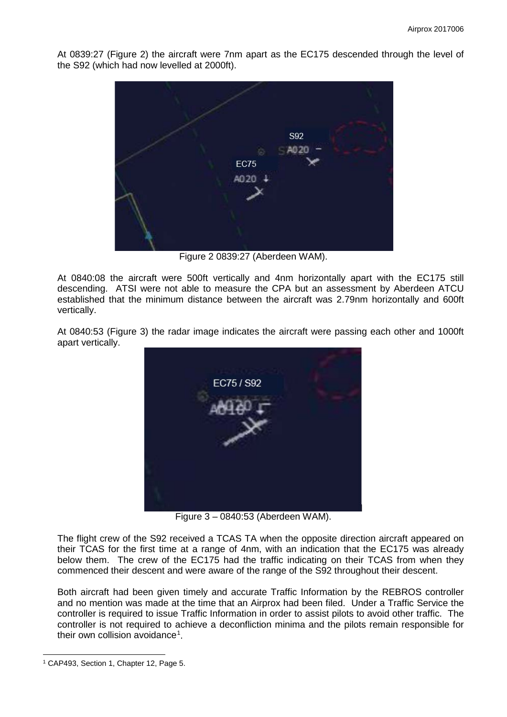At 0839:27 (Figure 2) the aircraft were 7nm apart as the EC175 descended through the level of the S92 (which had now levelled at 2000ft).



Figure 2 0839:27 (Aberdeen WAM).

At 0840:08 the aircraft were 500ft vertically and 4nm horizontally apart with the EC175 still descending. ATSI were not able to measure the CPA but an assessment by Aberdeen ATCU established that the minimum distance between the aircraft was 2.79nm horizontally and 600ft vertically.

At 0840:53 (Figure 3) the radar image indicates the aircraft were passing each other and 1000ft apart vertically.



Figure 3 – 0840:53 (Aberdeen WAM).

The flight crew of the S92 received a TCAS TA when the opposite direction aircraft appeared on their TCAS for the first time at a range of 4nm, with an indication that the EC175 was already below them. The crew of the EC175 had the traffic indicating on their TCAS from when they commenced their descent and were aware of the range of the S92 throughout their descent.

Both aircraft had been given timely and accurate Traffic Information by the REBROS controller and no mention was made at the time that an Airprox had been filed. Under a Traffic Service the controller is required to issue Traffic Information in order to assist pilots to avoid other traffic. The controller is not required to achieve a deconfliction minima and the pilots remain responsible for their own collision avoidance<sup>[1](#page-2-0)</sup>.

 $\overline{\phantom{a}}$ 

<span id="page-2-0"></span><sup>1</sup> CAP493, Section 1, Chapter 12, Page 5.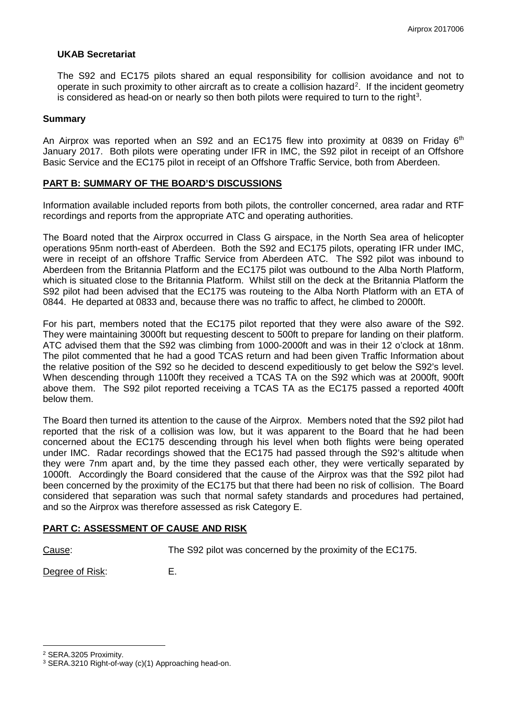## **UKAB Secretariat**

The S92 and EC175 pilots shared an equal responsibility for collision avoidance and not to operate in such proximity to other aircraft as to create a collision hazard<sup>[2](#page-3-0)</sup>. If the incident geometry is considered as head-on or nearly so then both pilots were required to turn to the right<sup>[3](#page-3-1)</sup>.

### **Summary**

An Airprox was reported when an S92 and an EC175 flew into proximity at 0839 on Friday  $6<sup>th</sup>$ January 2017. Both pilots were operating under IFR in IMC, the S92 pilot in receipt of an Offshore Basic Service and the EC175 pilot in receipt of an Offshore Traffic Service, both from Aberdeen.

## **PART B: SUMMARY OF THE BOARD'S DISCUSSIONS**

Information available included reports from both pilots, the controller concerned, area radar and RTF recordings and reports from the appropriate ATC and operating authorities.

The Board noted that the Airprox occurred in Class G airspace, in the North Sea area of helicopter operations 95nm north-east of Aberdeen. Both the S92 and EC175 pilots, operating IFR under IMC, were in receipt of an offshore Traffic Service from Aberdeen ATC. The S92 pilot was inbound to Aberdeen from the Britannia Platform and the EC175 pilot was outbound to the Alba North Platform, which is situated close to the Britannia Platform. Whilst still on the deck at the Britannia Platform the S92 pilot had been advised that the EC175 was routeing to the Alba North Platform with an ETA of 0844. He departed at 0833 and, because there was no traffic to affect, he climbed to 2000ft.

For his part, members noted that the EC175 pilot reported that they were also aware of the S92. They were maintaining 3000ft but requesting descent to 500ft to prepare for landing on their platform. ATC advised them that the S92 was climbing from 1000-2000ft and was in their 12 o'clock at 18nm. The pilot commented that he had a good TCAS return and had been given Traffic Information about the relative position of the S92 so he decided to descend expeditiously to get below the S92's level. When descending through 1100ft they received a TCAS TA on the S92 which was at 2000ft, 900ft above them. The S92 pilot reported receiving a TCAS TA as the EC175 passed a reported 400ft below them.

The Board then turned its attention to the cause of the Airprox. Members noted that the S92 pilot had reported that the risk of a collision was low, but it was apparent to the Board that he had been concerned about the EC175 descending through his level when both flights were being operated under IMC. Radar recordings showed that the EC175 had passed through the S92's altitude when they were 7nm apart and, by the time they passed each other, they were vertically separated by 1000ft. Accordingly the Board considered that the cause of the Airprox was that the S92 pilot had been concerned by the proximity of the EC175 but that there had been no risk of collision. The Board considered that separation was such that normal safety standards and procedures had pertained, and so the Airprox was therefore assessed as risk Category E.

# **PART C: ASSESSMENT OF CAUSE AND RISK**

l

Cause: The S92 pilot was concerned by the proximity of the EC175.

Degree of Risk: E.

<span id="page-3-0"></span><sup>2</sup> SERA.3205 Proximity.

<span id="page-3-1"></span><sup>3</sup> SERA.3210 Right-of-way (c)(1) Approaching head-on.